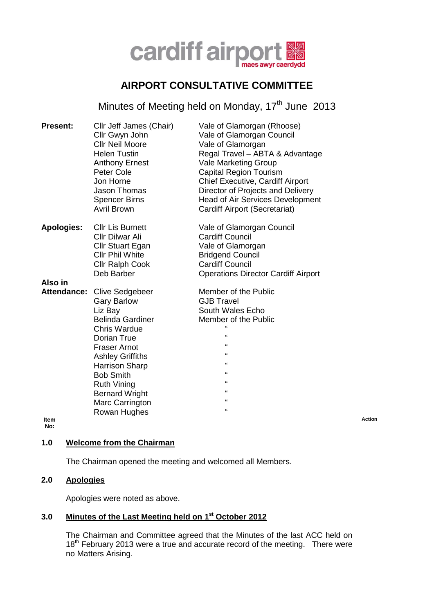

# **AIRPORT CONSULTATIVE COMMITTEE**

Minutes of Meeting held on Monday, 17<sup>th</sup> June 2013

| <b>Present:</b>     | Cllr Jeff James (Chair)<br>Cllr Gwyn John<br><b>Cllr Neil Moore</b><br><b>Helen Tustin</b><br><b>Anthony Ernest</b><br>Peter Cole<br>Jon Horne<br><b>Jason Thomas</b><br><b>Spencer Birns</b><br><b>Avril Brown</b>                                                                                       | Vale of Glamorgan (Rhoose)<br>Vale of Glamorgan Council<br>Vale of Glamorgan<br>Regal Travel - ABTA & Advantage<br><b>Vale Marketing Group</b><br><b>Capital Region Tourism</b><br><b>Chief Executive, Cardiff Airport</b><br>Director of Projects and Delivery<br><b>Head of Air Services Development</b><br>Cardiff Airport (Secretariat) |
|---------------------|-----------------------------------------------------------------------------------------------------------------------------------------------------------------------------------------------------------------------------------------------------------------------------------------------------------|---------------------------------------------------------------------------------------------------------------------------------------------------------------------------------------------------------------------------------------------------------------------------------------------------------------------------------------------|
| <b>Apologies:</b>   | <b>Cllr Lis Burnett</b><br><b>Cllr Dilwar Ali</b><br>Cllr Stuart Egan<br><b>CIIr Phil White</b><br><b>Cllr Ralph Cook</b><br>Deb Barber                                                                                                                                                                   | Vale of Glamorgan Council<br><b>Cardiff Council</b><br>Vale of Glamorgan<br><b>Bridgend Council</b><br><b>Cardiff Council</b><br><b>Operations Director Cardiff Airport</b>                                                                                                                                                                 |
| Also in             |                                                                                                                                                                                                                                                                                                           |                                                                                                                                                                                                                                                                                                                                             |
| Attendance:<br>ltem | <b>Clive Sedgebeer</b><br><b>Gary Barlow</b><br>Liz Bay<br><b>Belinda Gardiner</b><br><b>Chris Wardue</b><br>Dorian True<br><b>Fraser Arnot</b><br><b>Ashley Griffiths</b><br><b>Harrison Sharp</b><br><b>Bob Smith</b><br><b>Ruth Vining</b><br><b>Bernard Wright</b><br>Marc Carrington<br>Rowan Hughes | Member of the Public<br><b>GJB Travel</b><br>South Wales Echo<br>Member of the Public<br>$\epsilon$<br>$\epsilon$<br>$\epsilon$<br>$\epsilon$<br>$\pmb{\epsilon}$<br>$\mathbf{u}$<br>$\mathbf{u}$<br>$\epsilon$<br>$\epsilon$                                                                                                               |

**No:**

**Action**

## **1.0 Welcome from the Chairman**

The Chairman opened the meeting and welcomed all Members.

# **2.0 Apologies**

Apologies were noted as above.

## **3.0 Minutes of the Last Meeting held on 1 st October 2012**

The Chairman and Committee agreed that the Minutes of the last ACC held on 18<sup>th</sup> February 2013 were a true and accurate record of the meeting. There were no Matters Arising.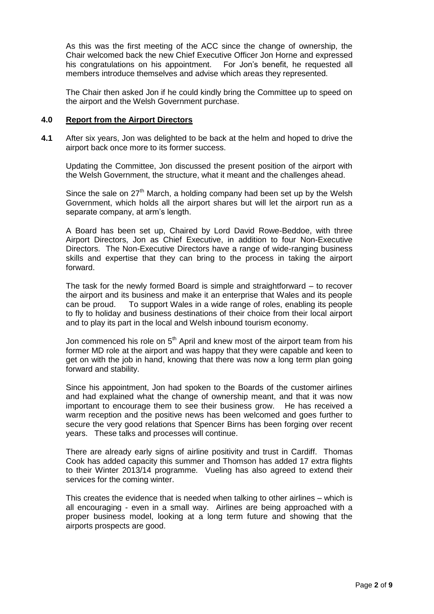As this was the first meeting of the ACC since the change of ownership, the Chair welcomed back the new Chief Executive Officer Jon Horne and expressed his congratulations on his appointment. For Jon's benefit, he requested all members introduce themselves and advise which areas they represented.

The Chair then asked Jon if he could kindly bring the Committee up to speed on the airport and the Welsh Government purchase.

#### **4.0 Report from the Airport Directors**

**4.1** After six years, Jon was delighted to be back at the helm and hoped to drive the airport back once more to its former success.

Updating the Committee, Jon discussed the present position of the airport with the Welsh Government, the structure, what it meant and the challenges ahead.

Since the sale on  $27<sup>th</sup>$  March, a holding company had been set up by the Welsh Government, which holds all the airport shares but will let the airport run as a separate company, at arm's length.

A Board has been set up, Chaired by Lord David Rowe-Beddoe, with three Airport Directors, Jon as Chief Executive, in addition to four Non-Executive Directors. The Non-Executive Directors have a range of wide-ranging business skills and expertise that they can bring to the process in taking the airport forward.

The task for the newly formed Board is simple and straightforward – to recover the airport and its business and make it an enterprise that Wales and its people can be proud. To support Wales in a wide range of roles, enabling its people to fly to holiday and business destinations of their choice from their local airport and to play its part in the local and Welsh inbound tourism economy.

Jon commenced his role on  $5<sup>th</sup>$  April and knew most of the airport team from his former MD role at the airport and was happy that they were capable and keen to get on with the job in hand, knowing that there was now a long term plan going forward and stability.

Since his appointment, Jon had spoken to the Boards of the customer airlines and had explained what the change of ownership meant, and that it was now important to encourage them to see their business grow. He has received a warm reception and the positive news has been welcomed and goes further to secure the very good relations that Spencer Birns has been forging over recent years. These talks and processes will continue.

There are already early signs of airline positivity and trust in Cardiff. Thomas Cook has added capacity this summer and Thomson has added 17 extra flights to their Winter 2013/14 programme. Vueling has also agreed to extend their services for the coming winter.

This creates the evidence that is needed when talking to other airlines – which is all encouraging - even in a small way. Airlines are being approached with a proper business model, looking at a long term future and showing that the airports prospects are good.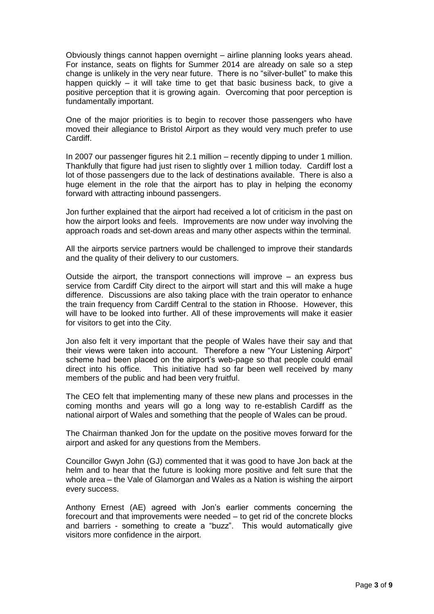Obviously things cannot happen overnight – airline planning looks years ahead. For instance, seats on flights for Summer 2014 are already on sale so a step change is unlikely in the very near future. There is no "silver-bullet" to make this happen quickly – it will take time to get that basic business back, to give a positive perception that it is growing again. Overcoming that poor perception is fundamentally important.

One of the major priorities is to begin to recover those passengers who have moved their allegiance to Bristol Airport as they would very much prefer to use Cardiff.

In 2007 our passenger figures hit 2.1 million – recently dipping to under 1 million. Thankfully that figure had just risen to slightly over 1 million today. Cardiff lost a lot of those passengers due to the lack of destinations available. There is also a huge element in the role that the airport has to play in helping the economy forward with attracting inbound passengers.

Jon further explained that the airport had received a lot of criticism in the past on how the airport looks and feels. Improvements are now under way involving the approach roads and set-down areas and many other aspects within the terminal.

All the airports service partners would be challenged to improve their standards and the quality of their delivery to our customers.

Outside the airport, the transport connections will improve – an express bus service from Cardiff City direct to the airport will start and this will make a huge difference. Discussions are also taking place with the train operator to enhance the train frequency from Cardiff Central to the station in Rhoose. However, this will have to be looked into further. All of these improvements will make it easier for visitors to get into the City.

Jon also felt it very important that the people of Wales have their say and that their views were taken into account. Therefore a new "Your Listening Airport" scheme had been placed on the airport's web-page so that people could email direct into his office. This initiative had so far been well received by many members of the public and had been very fruitful.

The CEO felt that implementing many of these new plans and processes in the coming months and years will go a long way to re-establish Cardiff as the national airport of Wales and something that the people of Wales can be proud.

The Chairman thanked Jon for the update on the positive moves forward for the airport and asked for any questions from the Members.

Councillor Gwyn John (GJ) commented that it was good to have Jon back at the helm and to hear that the future is looking more positive and felt sure that the whole area – the Vale of Glamorgan and Wales as a Nation is wishing the airport every success.

Anthony Ernest (AE) agreed with Jon's earlier comments concerning the forecourt and that improvements were needed – to get rid of the concrete blocks and barriers - something to create a "buzz". This would automatically give visitors more confidence in the airport.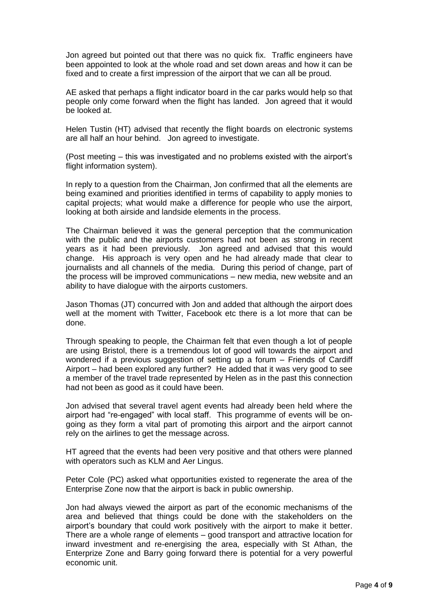Jon agreed but pointed out that there was no quick fix. Traffic engineers have been appointed to look at the whole road and set down areas and how it can be fixed and to create a first impression of the airport that we can all be proud.

AE asked that perhaps a flight indicator board in the car parks would help so that people only come forward when the flight has landed. Jon agreed that it would be looked at.

Helen Tustin (HT) advised that recently the flight boards on electronic systems are all half an hour behind. Jon agreed to investigate.

(Post meeting – this was investigated and no problems existed with the airport's flight information system).

In reply to a question from the Chairman, Jon confirmed that all the elements are being examined and priorities identified in terms of capability to apply monies to capital projects; what would make a difference for people who use the airport, looking at both airside and landside elements in the process.

The Chairman believed it was the general perception that the communication with the public and the airports customers had not been as strong in recent years as it had been previously. Jon agreed and advised that this would change. His approach is very open and he had already made that clear to journalists and all channels of the media. During this period of change, part of the process will be improved communications – new media, new website and an ability to have dialogue with the airports customers.

Jason Thomas (JT) concurred with Jon and added that although the airport does well at the moment with Twitter, Facebook etc there is a lot more that can be done.

Through speaking to people, the Chairman felt that even though a lot of people are using Bristol, there is a tremendous lot of good will towards the airport and wondered if a previous suggestion of setting up a forum – Friends of Cardiff Airport – had been explored any further? He added that it was very good to see a member of the travel trade represented by Helen as in the past this connection had not been as good as it could have been.

Jon advised that several travel agent events had already been held where the airport had "re-engaged" with local staff. This programme of events will be ongoing as they form a vital part of promoting this airport and the airport cannot rely on the airlines to get the message across.

HT agreed that the events had been very positive and that others were planned with operators such as KLM and Aer Lingus.

Peter Cole (PC) asked what opportunities existed to regenerate the area of the Enterprise Zone now that the airport is back in public ownership.

Jon had always viewed the airport as part of the economic mechanisms of the area and believed that things could be done with the stakeholders on the airport's boundary that could work positively with the airport to make it better. There are a whole range of elements – good transport and attractive location for inward investment and re-energising the area, especially with St Athan, the Enterprize Zone and Barry going forward there is potential for a very powerful economic unit.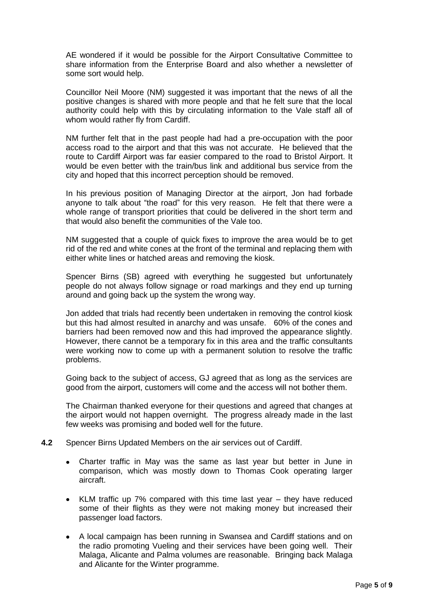AE wondered if it would be possible for the Airport Consultative Committee to share information from the Enterprise Board and also whether a newsletter of some sort would help.

Councillor Neil Moore (NM) suggested it was important that the news of all the positive changes is shared with more people and that he felt sure that the local authority could help with this by circulating information to the Vale staff all of whom would rather fly from Cardiff.

NM further felt that in the past people had had a pre-occupation with the poor access road to the airport and that this was not accurate. He believed that the route to Cardiff Airport was far easier compared to the road to Bristol Airport. It would be even better with the train/bus link and additional bus service from the city and hoped that this incorrect perception should be removed.

In his previous position of Managing Director at the airport, Jon had forbade anyone to talk about "the road" for this very reason. He felt that there were a whole range of transport priorities that could be delivered in the short term and that would also benefit the communities of the Vale too.

NM suggested that a couple of quick fixes to improve the area would be to get rid of the red and white cones at the front of the terminal and replacing them with either white lines or hatched areas and removing the kiosk.

Spencer Birns (SB) agreed with everything he suggested but unfortunately people do not always follow signage or road markings and they end up turning around and going back up the system the wrong way.

Jon added that trials had recently been undertaken in removing the control kiosk but this had almost resulted in anarchy and was unsafe. 60% of the cones and barriers had been removed now and this had improved the appearance slightly. However, there cannot be a temporary fix in this area and the traffic consultants were working now to come up with a permanent solution to resolve the traffic problems.

Going back to the subject of access, GJ agreed that as long as the services are good from the airport, customers will come and the access will not bother them.

The Chairman thanked everyone for their questions and agreed that changes at the airport would not happen overnight. The progress already made in the last few weeks was promising and boded well for the future.

- **4.2** Spencer Birns Updated Members on the air services out of Cardiff.
	- Charter traffic in May was the same as last year but better in June in  $\bullet$ comparison, which was mostly down to Thomas Cook operating larger aircraft.
	- $\bullet$ KLM traffic up 7% compared with this time last year – they have reduced some of their flights as they were not making money but increased their passenger load factors.
	- A local campaign has been running in Swansea and Cardiff stations and on the radio promoting Vueling and their services have been going well. Their Malaga, Alicante and Palma volumes are reasonable. Bringing back Malaga and Alicante for the Winter programme.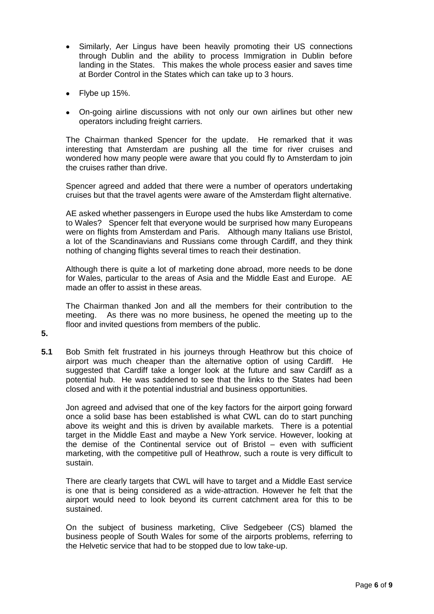- Similarly, Aer Lingus have been heavily promoting their US connections through Dublin and the ability to process Immigration in Dublin before landing in the States. This makes the whole process easier and saves time at Border Control in the States which can take up to 3 hours.
- Flybe up 15%.
- On-going airline discussions with not only our own airlines but other new operators including freight carriers.

The Chairman thanked Spencer for the update. He remarked that it was interesting that Amsterdam are pushing all the time for river cruises and wondered how many people were aware that you could fly to Amsterdam to join the cruises rather than drive.

Spencer agreed and added that there were a number of operators undertaking cruises but that the travel agents were aware of the Amsterdam flight alternative.

AE asked whether passengers in Europe used the hubs like Amsterdam to come to Wales? Spencer felt that everyone would be surprised how many Europeans were on flights from Amsterdam and Paris. Although many Italians use Bristol, a lot of the Scandinavians and Russians come through Cardiff, and they think nothing of changing flights several times to reach their destination.

Although there is quite a lot of marketing done abroad, more needs to be done for Wales, particular to the areas of Asia and the Middle East and Europe. AE made an offer to assist in these areas.

The Chairman thanked Jon and all the members for their contribution to the meeting. As there was no more business, he opened the meeting up to the floor and invited questions from members of the public.

- **5.**
- **5.1** Bob Smith felt frustrated in his journeys through Heathrow but this choice of airport was much cheaper than the alternative option of using Cardiff. He suggested that Cardiff take a longer look at the future and saw Cardiff as a potential hub. He was saddened to see that the links to the States had been closed and with it the potential industrial and business opportunities.

Jon agreed and advised that one of the key factors for the airport going forward once a solid base has been established is what CWL can do to start punching above its weight and this is driven by available markets. There is a potential target in the Middle East and maybe a New York service. However, looking at the demise of the Continental service out of Bristol – even with sufficient marketing, with the competitive pull of Heathrow, such a route is very difficult to sustain.

There are clearly targets that CWL will have to target and a Middle East service is one that is being considered as a wide-attraction. However he felt that the airport would need to look beyond its current catchment area for this to be sustained.

On the subject of business marketing, Clive Sedgebeer (CS) blamed the business people of South Wales for some of the airports problems, referring to the Helvetic service that had to be stopped due to low take-up.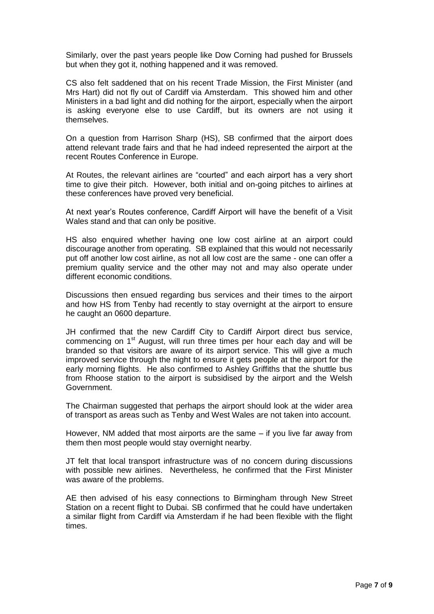Similarly, over the past years people like Dow Corning had pushed for Brussels but when they got it, nothing happened and it was removed.

CS also felt saddened that on his recent Trade Mission, the First Minister (and Mrs Hart) did not fly out of Cardiff via Amsterdam. This showed him and other Ministers in a bad light and did nothing for the airport, especially when the airport is asking everyone else to use Cardiff, but its owners are not using it themselves.

On a question from Harrison Sharp (HS), SB confirmed that the airport does attend relevant trade fairs and that he had indeed represented the airport at the recent Routes Conference in Europe.

At Routes, the relevant airlines are "courted" and each airport has a very short time to give their pitch. However, both initial and on-going pitches to airlines at these conferences have proved very beneficial.

At next year's Routes conference, Cardiff Airport will have the benefit of a Visit Wales stand and that can only be positive.

HS also enquired whether having one low cost airline at an airport could discourage another from operating. SB explained that this would not necessarily put off another low cost airline, as not all low cost are the same - one can offer a premium quality service and the other may not and may also operate under different economic conditions.

Discussions then ensued regarding bus services and their times to the airport and how HS from Tenby had recently to stay overnight at the airport to ensure he caught an 0600 departure.

JH confirmed that the new Cardiff City to Cardiff Airport direct bus service, commencing on 1<sup>st</sup> August, will run three times per hour each day and will be branded so that visitors are aware of its airport service. This will give a much improved service through the night to ensure it gets people at the airport for the early morning flights. He also confirmed to Ashley Griffiths that the shuttle bus from Rhoose station to the airport is subsidised by the airport and the Welsh Government.

The Chairman suggested that perhaps the airport should look at the wider area of transport as areas such as Tenby and West Wales are not taken into account.

However, NM added that most airports are the same – if you live far away from them then most people would stay overnight nearby.

JT felt that local transport infrastructure was of no concern during discussions with possible new airlines. Nevertheless, he confirmed that the First Minister was aware of the problems.

AE then advised of his easy connections to Birmingham through New Street Station on a recent flight to Dubai. SB confirmed that he could have undertaken a similar flight from Cardiff via Amsterdam if he had been flexible with the flight times.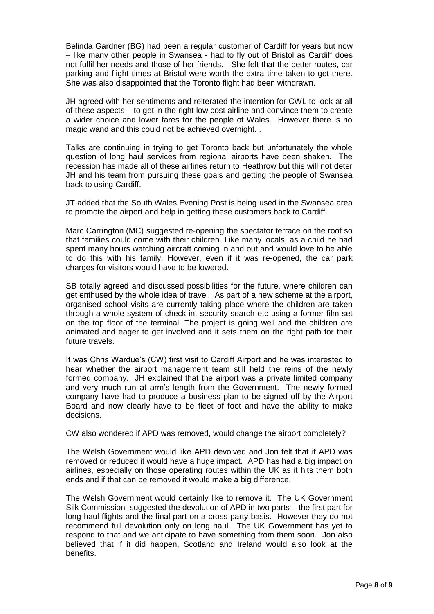Belinda Gardner (BG) had been a regular customer of Cardiff for years but now – like many other people in Swansea - had to fly out of Bristol as Cardiff does not fulfil her needs and those of her friends. She felt that the better routes, car parking and flight times at Bristol were worth the extra time taken to get there. She was also disappointed that the Toronto flight had been withdrawn.

JH agreed with her sentiments and reiterated the intention for CWL to look at all of these aspects – to get in the right low cost airline and convince them to create a wider choice and lower fares for the people of Wales. However there is no magic wand and this could not be achieved overnight. .

Talks are continuing in trying to get Toronto back but unfortunately the whole question of long haul services from regional airports have been shaken. The recession has made all of these airlines return to Heathrow but this will not deter JH and his team from pursuing these goals and getting the people of Swansea back to using Cardiff.

JT added that the South Wales Evening Post is being used in the Swansea area to promote the airport and help in getting these customers back to Cardiff.

Marc Carrington (MC) suggested re-opening the spectator terrace on the roof so that families could come with their children. Like many locals, as a child he had spent many hours watching aircraft coming in and out and would love to be able to do this with his family. However, even if it was re-opened, the car park charges for visitors would have to be lowered.

SB totally agreed and discussed possibilities for the future, where children can get enthused by the whole idea of travel. As part of a new scheme at the airport, organised school visits are currently taking place where the children are taken through a whole system of check-in, security search etc using a former film set on the top floor of the terminal. The project is going well and the children are animated and eager to get involved and it sets them on the right path for their future travels.

It was Chris Wardue's (CW) first visit to Cardiff Airport and he was interested to hear whether the airport management team still held the reins of the newly formed company. JH explained that the airport was a private limited company and very much run at arm's length from the Government. The newly formed company have had to produce a business plan to be signed off by the Airport Board and now clearly have to be fleet of foot and have the ability to make decisions.

CW also wondered if APD was removed, would change the airport completely?

The Welsh Government would like APD devolved and Jon felt that if APD was removed or reduced it would have a huge impact. APD has had a big impact on airlines, especially on those operating routes within the UK as it hits them both ends and if that can be removed it would make a big difference.

The Welsh Government would certainly like to remove it. The UK Government Silk Commission suggested the devolution of APD in two parts – the first part for long haul flights and the final part on a cross party basis. However they do not recommend full devolution only on long haul. The UK Government has yet to respond to that and we anticipate to have something from them soon. Jon also believed that if it did happen, Scotland and Ireland would also look at the benefits.